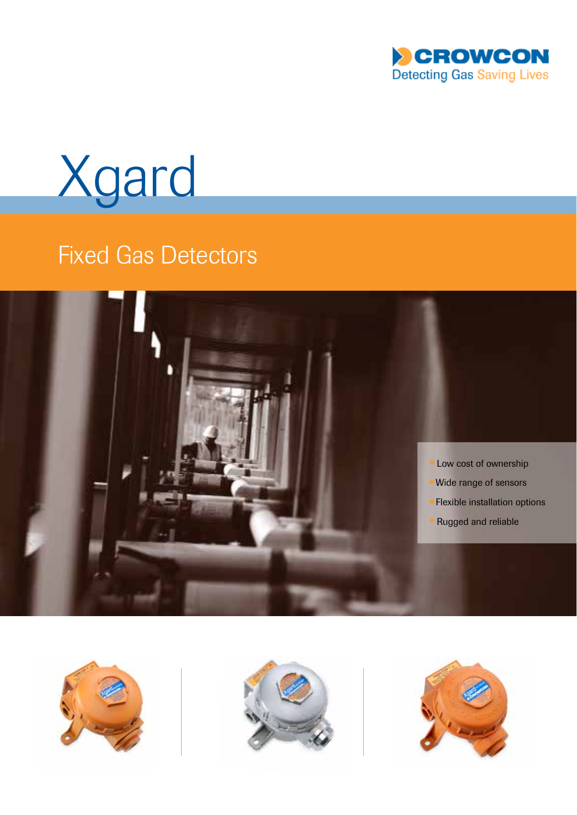

Xgard

# **Fixed Gas Detectors**







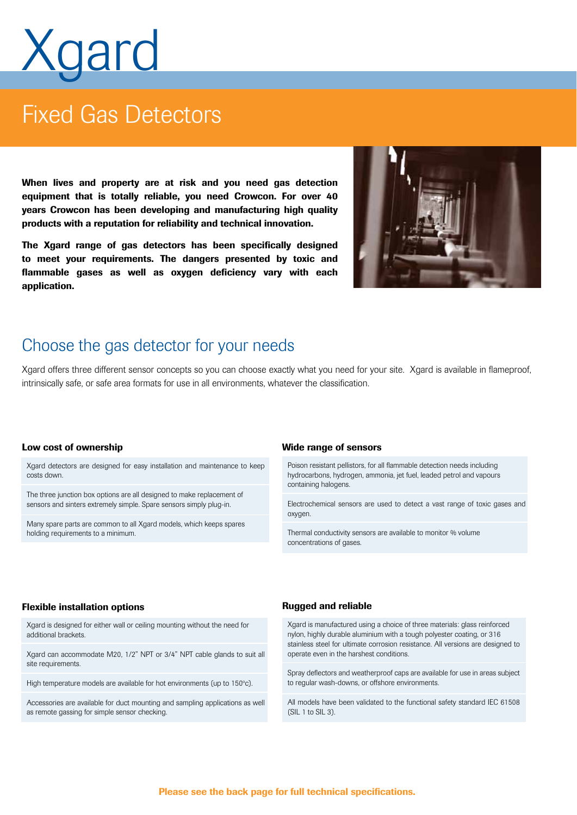# qard

# **Fixed Gas Detectors**

When lives and property are at risk and you need gas detection equipment that is totally reliable, you need Crowcon. For over 40 years Crowcon has been developing and manufacturing high quality products with a reputation for reliability and technical innovation.

The Xgard range of gas detectors has been specifically designed to meet your requirements. The dangers presented by toxic and flammable gases as well as oxygen deficiency vary with each application.



### Choose the gas detector for your needs

Xgard offers three different sensor concepts so you can choose exactly what you need for your site. Xgard is available in flameproof. intrinsically safe, or safe area formats for use in all environments, whatever the classification.

Xgard detectors are designed for easy installation and maintenance to keep costs down.

The three junction box options are all designed to make replacement of sensors and sinters extremely simple. Spare sensors simply plug-in.

Many spare parts are common to all Xgard models, which keeps spares holding requirements to a minimum.

### Low cost of ownership Nicolas Control of the Wide range of sensors

Poison resistant pellistors, for all flammable detection needs including hydrocarbons, hydrogen, ammonia, jet fuel, leaded petrol and vapours containing halogens.

Electrochemical sensors are used to detect a vast range of toxic gases and oxygen.

Thermal conductivity sensors are available to monitor % volume concentrations of gases.

### Flexible installation options

Xgard is designed for either wall or ceiling mounting without the need for additional brackets.

Xgard can accommodate M20, 1/2" NPT or 3/4" NPT cable glands to suit all site requirements.

High temperature models are available for hot environments (up to 150°c).

Accessories are available for duct mounting and sampling applications as well as remote gassing for simple sensor checking.

### Rugged and reliable

Xgard is manufactured using a choice of three materials: glass reinforced nylon, highly durable aluminium with a tough polyester coating, or 316 stainless steel for ultimate corrosion resistance. All versions are designed to operate even in the harshest conditions.

Spray deflectors and weatherproof caps are available for use in areas subject to regular wash-downs, or offshore environments.

All models have been validated to the functional safety standard IEC 61508  $(SIL 1 to SIL 3)$ .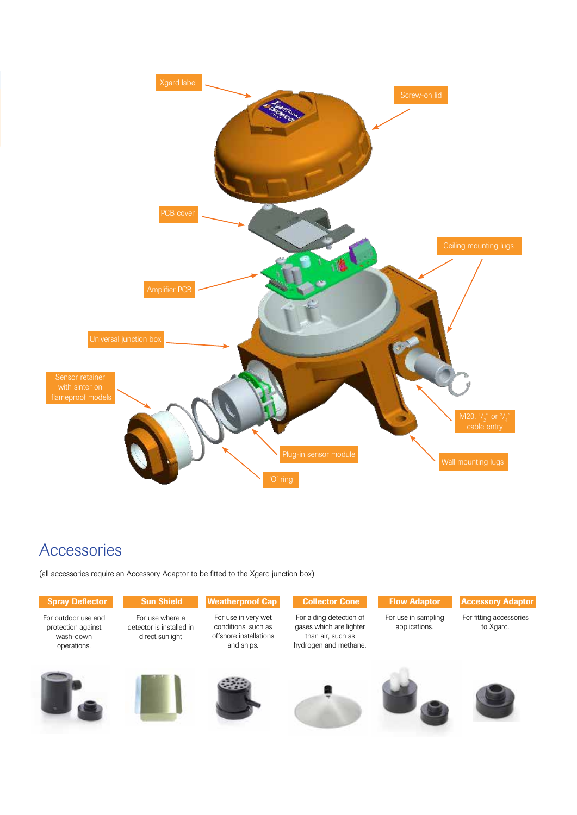

### Accessories

(all accessories require an Accessory Adaptor to be fitted to the Xgard junction box)

| <b>Spray Deflector</b>                                                | <b>Sun Shield</b>                                              | <b>Weatherproof Cap</b>                                                            | <b>Collector Cone</b>                                                                            | <b>Flow Adaptor</b>                  | <b>Accessory Adaptor</b>             |
|-----------------------------------------------------------------------|----------------------------------------------------------------|------------------------------------------------------------------------------------|--------------------------------------------------------------------------------------------------|--------------------------------------|--------------------------------------|
| For outdoor use and<br>protection against<br>wash-down<br>operations. | For use where a<br>detector is installed in<br>direct sunlight | For use in very wet<br>conditions, such as<br>offshore installations<br>and ships. | For aiding detection of<br>gases which are lighter<br>than air, such as<br>hydrogen and methane. | For use in sampling<br>applications. | For fitting accessories<br>to Xgard. |
|                                                                       |                                                                |                                                                                    |                                                                                                  |                                      |                                      |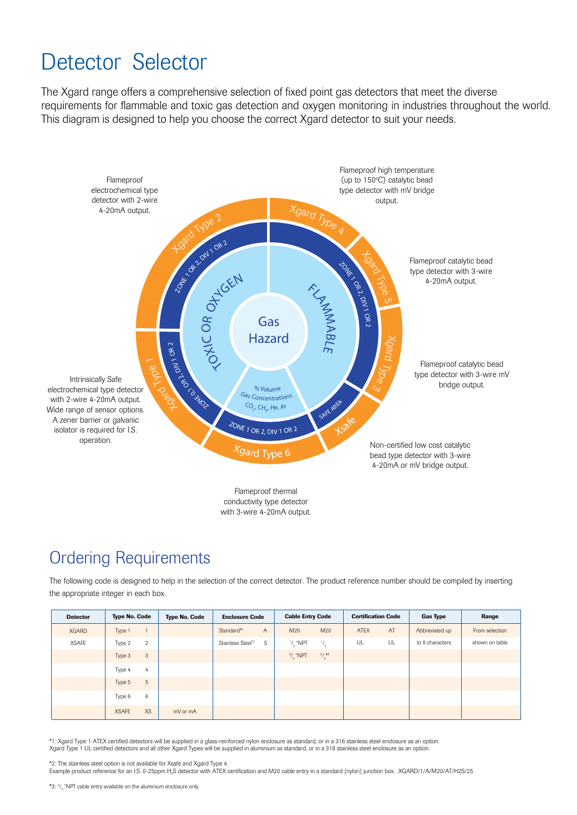# Detector Selector

The Xgard range offers a comprehensive selection of fixed point gas detectors that meet the diverse requirements for flammable and toxic gas detection and oxygen monitoring in industries throughout the world. This diagram is designed to help you choose the correct Xgard detector to suit your needs.



### **Ordering Requirements**

The following code is designed to help in the selection of the correct detector. The product reference number should be compiled by inserting the appropriate integer in each box.

| <b>Detector</b> | <b>Type No. Code</b>     | <b>Type No. Code</b> | <b>Enclosure Code</b>              | <b>Cable Entry Code</b>                 | <b>Certification Code</b> | <b>Gas Type</b> | Range          |
|-----------------|--------------------------|----------------------|------------------------------------|-----------------------------------------|---------------------------|-----------------|----------------|
| <b>XGARD</b>    | Type 1                   |                      | Standard*1<br>$\overline{A}$       | M20<br>M20                              | AT<br><b>ATEX</b>         | Abbreviated up  | From selection |
| <b>XSAFE</b>    | Type 2<br>$\overline{2}$ |                      | S<br>Stainless Steel* <sup>2</sup> | $\frac{1}{2}$<br>$\frac{1}{2}$ "NPT     | UL<br>UL                  | to 8 characters | shown on table |
|                 | Type 3<br>3              |                      |                                    | $\frac{3}{4}$ *3<br><sup>3</sup> / "NPT |                           |                 |                |
|                 | Type 4<br>4              |                      |                                    |                                         |                           |                 |                |
|                 | Type 5<br>$\sqrt{5}$     |                      |                                    |                                         |                           |                 |                |
|                 | 6<br>Type 6              |                      |                                    |                                         |                           |                 |                |
|                 | XS<br><b>XSAFE</b>       | mV or mA             |                                    |                                         |                           |                 |                |

\*1: Xgard Type 1 ATEX certified detectors will be supplied in a glass-reinforced nylon enclosure as standard, or in a 316 stainless steel enclosure as an option. Xgard Type 1 UL certified detectors and all other Xgard Types will be supplied in aluminium as standard, or in a 316 stainless steel enclosure as an option

\*2: The stainless steel option is not available for Xsafe and Xgard Type 4.

Example product reference for an I.S. 0-25ppm H<sub>2</sub>S detector with ATEX certification and M20 cable entry in a standard (nylon) junction box: XGARD/1/A/M20/AT/H2S/25.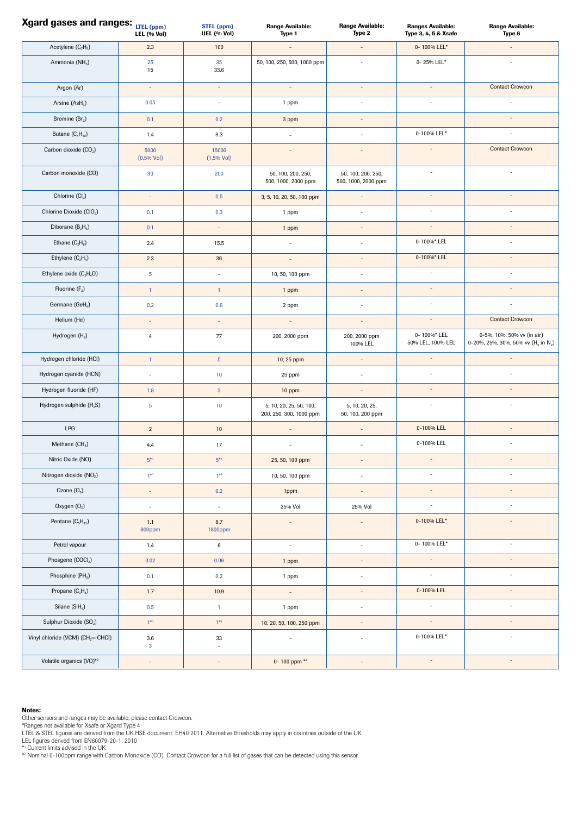| Xgard gases and ranges: LTEL (ppm)            | LEL (% Vol)              | <b>STEL (ppm)</b><br>UEL (% Vol) | <b>Range Available:</b><br>Type 1                  | Range Available:<br>Type 2                | <b>Ranges Available:</b><br>Type 3, 4, 5 & Xsafe | <b>Range Available:</b><br>Type 6                                                         |
|-----------------------------------------------|--------------------------|----------------------------------|----------------------------------------------------|-------------------------------------------|--------------------------------------------------|-------------------------------------------------------------------------------------------|
| Acetylene $(C_2H_2)$                          | 2.3                      | 100                              | $\overline{a}$                                     | ÷,                                        | 0-100% LEL*                                      | ÷,                                                                                        |
| Ammonia (NH <sub>3</sub> )                    | 25<br>15                 | 35<br>33.6                       | 50, 100, 250, 500, 1000 ppm                        | $\overline{\phantom{a}}$                  | 0-25% LEL*                                       |                                                                                           |
| Argon (Ar)                                    | $\overline{\phantom{a}}$ | $\overline{\phantom{a}}$         | $\overline{\phantom{a}}$                           | $\overline{\phantom{a}}$                  | $\overline{\phantom{a}}$                         | <b>Contact Crowcon</b>                                                                    |
| Arsine (AsH <sub>3</sub> )                    | 0.05                     | $\omega$                         | 1 ppm                                              | ÷,                                        | $\overline{\phantom{a}}$                         | ÷,                                                                                        |
| Bromine (Br <sub>2</sub> )                    | 0.1                      | 0.2                              | 3 ppm                                              | $\overline{a}$                            |                                                  | $\overline{\phantom{a}}$                                                                  |
| Butane $(C_4H_{10})$                          | 1.4                      | $9.3\,$                          | $\omega$                                           | ÷.                                        | 0-100% LEL*                                      | ÷,                                                                                        |
| Carbon dioxide (CO <sub>2</sub> )             | 5000<br>$(0.5%$ Vol)     | 15000<br>(1.5% Vol)              | $\overline{a}$                                     | ÷,                                        | $\overline{\phantom{a}}$                         | <b>Contact Crowcon</b>                                                                    |
| Carbon monoxide (CO)                          | 30                       | 200                              | 50, 100, 200, 250,<br>500, 1000, 2000 ppm          | 50, 100, 200, 250,<br>500, 1000, 2000 ppm | $\sim$                                           | $\sim$                                                                                    |
| Chlorine $(Cl2)$                              | $\omega$                 | $0.5\,$                          | 3, 5, 10, 20, 50, 100 ppm                          | $\overline{a}$                            | $\sim$                                           | $\overline{\phantom{a}}$                                                                  |
| Chlorine Dioxide (CIO <sub>2</sub> )          | 0.1                      | 0.3                              | 1 ppm                                              | ÷,                                        | $\sim$                                           |                                                                                           |
| Diborane $(B_2H_6)$                           | 0.1                      | $\bar{a}$                        | 1 ppm                                              | ÷,                                        | $\overline{\phantom{a}}$                         | $\overline{a}$                                                                            |
| Ethane $(C_2H_6)$                             | 2.4                      | 15.5                             | $\omega$                                           | ÷,                                        | 0-100%* LEL                                      | $\overline{\phantom{a}}$                                                                  |
| Ethylene $(C_2H_4)$                           | 2.3                      | 36                               | $\overline{a}$                                     | ÷,                                        | 0-100%* LEL                                      | $\overline{\phantom{a}}$                                                                  |
| Ethylene oxide $(C_2H_4O)$                    | 5 <sub>5</sub>           | ÷,                               | 10, 50, 100 ppm                                    | ä,                                        | ÷,                                               | $\overline{\phantom{a}}$                                                                  |
| Fluorine (F2)                                 | $\mathbf{1}$             | $\mathbf{1}$                     | 1 ppm                                              | ÷,                                        | $\bar{a}$                                        | $\overline{\phantom{a}}$                                                                  |
| Germane (GeH <sub>4</sub> )                   | 0.2                      | 0.6                              | 2 ppm                                              | ä,                                        | ÷,                                               | ä,                                                                                        |
| Helium (He)                                   | $\bar{a}$                | $\bar{a}$                        | $\overline{\phantom{a}}$                           | $\overline{a}$                            |                                                  | <b>Contact Crowcon</b>                                                                    |
| Hydrogen (H <sub>2</sub> )                    | 4                        | 77                               | 200, 2000 ppm                                      | 200, 2000 ppm<br>100% LEL                 | 0-100%*LEL<br>50% LEL, 100% LEL                  | 0-5%, 10%, 50% vv (in air)<br>0-20%, 25%, 30%, 50% vv (H <sub>2</sub> in N <sub>2</sub> ) |
| Hydrogen chloride (HCI)                       | $\mathbf{1}$             | $\overline{5}$                   | 10, 25 ppm                                         | $\overline{a}$                            | $\overline{a}$                                   | $\overline{a}$                                                                            |
| Hydrogen cyanide (HCN)                        | $\overline{\phantom{a}}$ | 10                               | 25 ppm                                             | ÷,                                        |                                                  |                                                                                           |
| Hydrogen fluoride (HF)                        | 1.8                      | $\overline{3}$                   | 10 ppm                                             |                                           |                                                  |                                                                                           |
| Hydrogen sulphide (H <sub>2</sub> S)          | $\overline{5}$           | 10                               | 5, 10, 20, 25, 50, 100,<br>200, 250, 300, 1000 ppm | 5, 10, 20, 25,<br>50, 100, 200 ppm        | $\sim$                                           | ä,                                                                                        |
| LPG                                           | $\overline{2}$           | 10                               | ÷,                                                 | $\overline{a}$                            | 0-100% LEL                                       | $\overline{a}$                                                                            |
| Methane (CH <sub>4</sub> )                    | 4.4                      | 17                               | ä,                                                 |                                           | 0-100% LEL                                       |                                                                                           |
| Nitric Oxide (NO)                             | $5^{\ast1}$              | $5^{\ast1}$                      | 25, 50, 100 ppm                                    | $\frac{1}{2}$                             | $\overline{\phantom{a}}$                         | $\overline{\phantom{a}}$                                                                  |
| Nitrogen dioxide (NO2)                        | $1**1$                   | $1**1$                           | 10, 50, 100 ppm                                    | $\overline{\phantom{a}}$                  | $\sim$                                           | $\sim$                                                                                    |
| Ozone $(03)$                                  | $\overline{\phantom{a}}$ | 0.2                              | 1ppm                                               | $\overline{\phantom{a}}$                  | $\overline{\phantom{a}}$                         | $\overline{\phantom{a}}$                                                                  |
| Oxygen (O <sub>2</sub> )                      | $\overline{\phantom{a}}$ | ÷,                               | 25% Vol                                            | 25% Vol                                   | $\overline{\phantom{a}}$                         | ÷,                                                                                        |
| Pentane $(C_5H_{12})$                         | 1.1<br>600ppm            | 8.7<br>1800ppm                   | $\overline{\phantom{m}}$                           |                                           | 0-100% LEL*                                      | $\overline{a}$                                                                            |
| Petrol vapour                                 | 1.4                      | $\,6\,$                          | ä,                                                 | $\sim$                                    | 0-100% LEL*                                      | $\overline{\phantom{a}}$                                                                  |
| Phosgene (COCl2)                              | $0.02\,$                 | 0.06                             | 1 ppm                                              | $\overline{a}$                            | $\overline{\phantom{a}}$                         | $\overline{\phantom{a}}$                                                                  |
| Phosphine (PH <sub>3</sub> )                  | 0.1                      | 0.2                              | 1 ppm                                              | ÷,                                        | $\overline{\phantom{a}}$                         | ÷,                                                                                        |
| Propane (C <sub>3</sub> H <sub>a</sub> )      | 1.7                      | 10.9                             | $\Box$                                             | $\overline{\phantom{a}}$                  | 0-100% LEL                                       | $\overline{\phantom{a}}$                                                                  |
| Silane (SiH <sub>4</sub> )                    | $0.5\,$                  | $\mathbf{1}$                     | 1 ppm                                              | $\overline{\phantom{a}}$                  | ÷,                                               | ÷,                                                                                        |
| Sulphur Dioxide (SO <sub>2</sub> )            | $1^{*1}$                 | $1*1$                            | 10, 20, 50, 100, 250 ppm                           |                                           | $\overline{\phantom{a}}$                         | $\overline{a}$                                                                            |
| Vinyl chloride (VCM) (CH <sub>2</sub> = CHCl) | $3.6\,$<br>$\mathbf{3}$  | $33\,$<br>÷,                     | $\overline{\phantom{a}}$                           | ÷,                                        | 0-100% LEL*                                      | $\bar{ }$                                                                                 |
| Volatile organics (VO)*2                      | $\overline{\phantom{a}}$ | $\overline{\phantom{a}}$         | 0-100 ppm *2                                       | $\overline{\phantom{a}}$                  | $\overline{\phantom{a}}$                         | $\overline{\phantom{a}}$                                                                  |

#### Notes:

Other sensors and ranges may be available, please contact Crowcon.<br>\*Ranges not available for Xsafe or Xgard Type 4<br>LTEL & STEL figures are derived from the UK HSE document: EH40 2011. Alternative thresholds may apply in co